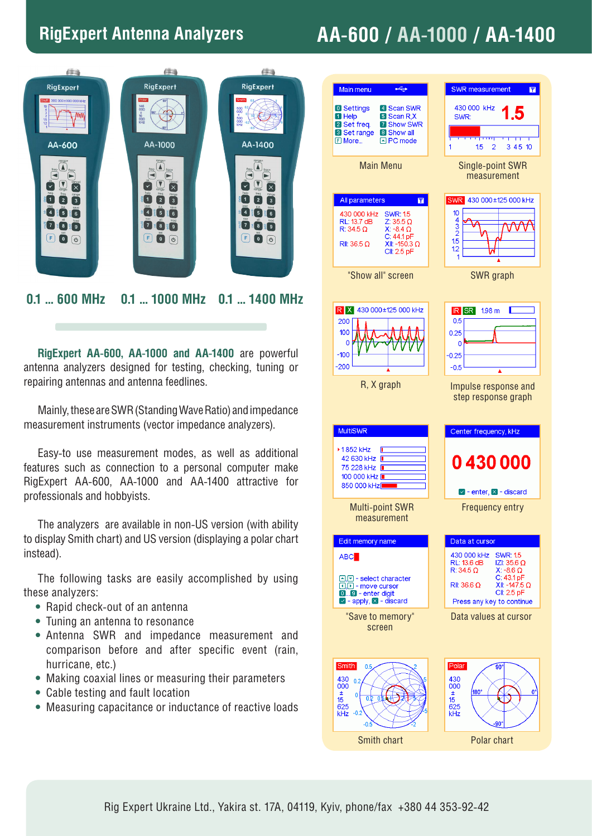#### E) 佳 dia RigExpert RigExpert **RigExpert**  $rac{1}{200}$ AA-600 AA-1000 AA-1400  $\circledast$  $\boxed{\blacktriangle}$  $\mathbf{A}$  $\n **Q Example Example Example Example Example Example Example Example Example Example Example Example Example Example Example Example Example Example Example Example Example Example Example Example Example Example Example Example Example Example** <$  $\sum_{\text{longe}}$  $\sum_{\text{single}}$  $\lceil \mathbf{v} \rceil$  $\lceil \mathbf{v} \rceil$ O  $\blacksquare$  $\boxed{2}$  $\blacksquare$  $\bullet$  $\boxed{3}$  $\begin{array}{|c|c|}\n\hline\n2 & 3\n\end{array}$ 0  $\begin{array}{|c|c|} \hline \hline \hline \end{array}$  $456$  $\blacksquare$  $\overline{\hspace{1mm}}$  5  $\overline{\hspace{1mm}}$  6 000 01819  $7.8.9$  $F \bigcirc$  $F$  0  $\odot$  $F$  $\bigcirc$

### **0.1 ... 600 МHz 0.1 ... 1000 МHz 0.1 ... 1400 МHz**

**RigExpert AA-600, AA-1000 and AA-1400** are powerful antenna analyzers designed for testing, checking, tuning or repairing antennas and antenna feedlines.

Mainly, these are SWR (Standing Wave Ratio) and impedance measurement instruments (vector impedance analyzers).

Easy-to use measurement modes, as well as additional features such as connection to a personal computer make RigExpert AA-600, AA-1000 and AA-1400 attractive for professionals and hobbyists.

The analyzers are available in non-US version (with ability to display Smith chart) and US version (displaying a polar chart instead).

The following tasks are easily accomplished by using these analyzers:

- **•** Rapid check-out of an antenna
- **•** Tuning an antenna to resonance
- **•** Antenna SWR and impedance measurement and comparison before and after specific event (rain, hurricane, etc.)
- **•** Making coaxial lines or measuring their parameters
- **•** Cable testing and fault location
- **•** Measuring capacitance or inductance of reactive loads

# **RigExpert Antenna Analyzers AA-600 / AA-1000 / AA-1400**



Rig Expert Ukraine Ltd., Yakira st. 17A, 04119, Kyiv, phone/fax +380 44 353-92-42